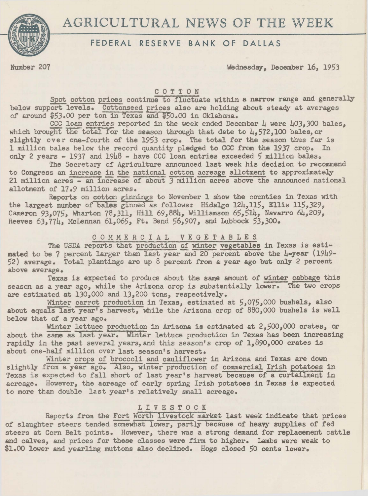



# FEDERAL RESERVE BANK OF DALLAS

Number 207 Wednesday, December 16, 1953

### COTTON

Spot cotton prices continue to fluctuate within a narrow range and generally below support levels. Cottonseed prices also are holding about steady at averages of around \$53.00 per ton in Texas and \$50.00 in Oklahoma.

CCC loan entries reported in the week ended December  $\mu$  were  $\mu$ 03.300 bales. which brought the total for the season through that date to  $\mu$ .572.100 bales, or slightly over one-fcurth of the 1953 crop. The total for the season thus far is 1 million bales below the record quantity pledged to CCC from the 1937 crop. In only 2 years - 1937 and 1948 - have CCC loan entries exceeded 5 million bales.

The Secretary of Agriculture announced last week his decision to recommend to Congress an increase in the national cotton acreage allotment to approximately 21 million acres - an increase of about 3 million acres above the announced national allotment of 17.9 million acres.

Reports on cotton ginnings to November 1 show the counties in Texas with the largest number of bales ginned as follows: Hidalgo 124,115, Ellis 115,329, Cameron 93.075, Wharton 78,311, Hill 69,884, Williamson 65,514, Navarro 64,209, Reeves  $63,774$ , McLennan  $61,065$ , Ft. Bend  $56,907$ , and Lubbock  $53,300$ .

## COMMERCIAL VEGETABLES

The USDA reports that production of winter vegetables in Texas is estimated to be 7 percent larger than last year and 20 percent above the 4-year (1949-52) average. Total plantings are up 8 percent from a year ago but only 2 percent above average.

Texas is expected to produce about the same amount of winter cabbage this season as a year ago, while the Arizona crop is substantially lower. The two crops are estimated at 130,000 and 13,200 tons, respectively.

Winter carrot production in Texas, estimated at 5,075,000 bushels, also about equals last year's harvest, while the Arizona crop of 880,000 bushels is well below that of a year ago.

Winter lettuce production in Arizona is estimated at 2,500,000 crates, or about the same as last year. Winter lettuce production in Texas has been increasing rapidly in the past several years, and this season's crop of 1,890,000 crates is about one-half million over last season's harvest.

Winter crops of broccoli and cauliflower in Arizona and Texas are down slightly from a year ago. Also, winter production of commercial Irish potatoes in Texas is expected to fall short of last year's harvest because of a curtailment in acreage. However, the acreage of early spring Irish potatoes in Texas is expected to more than double last year's relatively small acreage.

## L I V E S T 0 C K

Reports from the Fort Worth livestock market last week indicate that prices of slaughter steers tended somewhat lower, partly because of heavy supplies of fed steers at Corn Belt points. However, there was a strong demand for replacement cattle and calves, and prices for these classes were firm to higher. Lambs were weak to \$1.00 lower and yearling muttons also declined. Hogs closed 50 cents lower.